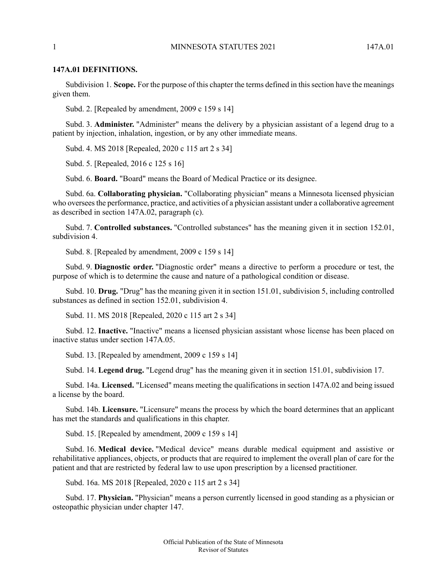## **147A.01 DEFINITIONS.**

Subdivision 1. **Scope.** For the purpose of this chapter the terms defined in thissection have the meanings given them.

Subd. 2. [Repealed by amendment, 2009 c 159 s 14]

Subd. 3. **Administer.** "Administer" means the delivery by a physician assistant of a legend drug to a patient by injection, inhalation, ingestion, or by any other immediate means.

Subd. 4. MS 2018 [Repealed, 2020 c 115 art 2 s 34]

Subd. 5. [Repealed, 2016 c 125 s 16]

Subd. 6. **Board.** "Board" means the Board of Medical Practice or its designee.

Subd. 6a. **Collaborating physician.** "Collaborating physician" means a Minnesota licensed physician who overseesthe performance, practice, and activities of a physician assistant under a collaborative agreement as described in section 147A.02, paragraph (c).

Subd. 7. **Controlled substances.** "Controlled substances" has the meaning given it in section 152.01, subdivision 4.

Subd. 8. [Repealed by amendment, 2009 c 159 s 14]

Subd. 9. **Diagnostic order.** "Diagnostic order" means a directive to perform a procedure or test, the purpose of which is to determine the cause and nature of a pathological condition or disease.

Subd. 10. **Drug.** "Drug" has the meaning given it in section 151.01, subdivision 5, including controlled substances as defined in section 152.01, subdivision 4.

Subd. 11. MS 2018 [Repealed, 2020 c 115 art 2 s 34]

Subd. 12. **Inactive.** "Inactive" means a licensed physician assistant whose license has been placed on inactive status under section 147A.05.

Subd. 13. [Repealed by amendment, 2009 c 159 s 14]

Subd. 14. **Legend drug.** "Legend drug" has the meaning given it in section 151.01, subdivision 17.

Subd. 14a. **Licensed.** "Licensed" means meeting the qualifications in section 147A.02 and being issued a license by the board.

Subd. 14b. **Licensure.** "Licensure" means the process by which the board determines that an applicant has met the standards and qualifications in this chapter.

Subd. 15. [Repealed by amendment, 2009 c 159 s 14]

Subd. 16. **Medical device.** "Medical device" means durable medical equipment and assistive or rehabilitative appliances, objects, or products that are required to implement the overall plan of care for the patient and that are restricted by federal law to use upon prescription by a licensed practitioner.

Subd. 16a. MS 2018 [Repealed, 2020 c 115 art 2 s 34]

Subd. 17. **Physician.** "Physician" means a person currently licensed in good standing as a physician or osteopathic physician under chapter 147.